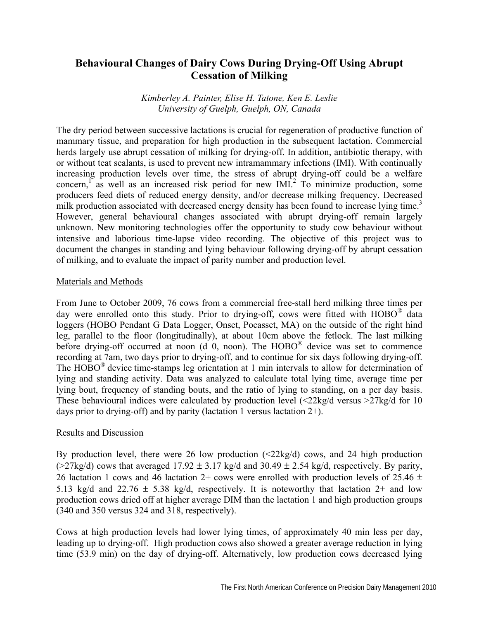# **Behavioural Changes of Dairy Cows During Drying-Off Using Abrupt Cessation of Milking**

*Kimberley A. Painter, Elise H. Tatone, Ken E. Leslie University of Guelph, Guelph, ON, Canada* 

The dry period between successive lactations is crucial for regeneration of productive function of mammary tissue, and preparation for high production in the subsequent lactation. Commercial herds largely use abrupt cessation of milking for drying-off. In addition, antibiotic therapy, with or without teat sealants, is used to prevent new intramammary infections (IMI). With continually increasing production levels over time, the stress of abrupt drying-off could be a welfare concern, as well as an increased risk period for new  $IMI^2$ . To minimize production, some producers feed diets of reduced energy density, and/or decrease milking frequency. Decreased milk production associated with decreased energy density has been found to increase lying time.<sup>3</sup> However, general behavioural changes associated with abrupt drying-off remain largely unknown. New monitoring technologies offer the opportunity to study cow behaviour without intensive and laborious time-lapse video recording. The objective of this project was to document the changes in standing and lying behaviour following drying-off by abrupt cessation of milking, and to evaluate the impact of parity number and production level.

## Materials and Methods

From June to October 2009, 76 cows from a commercial free-stall herd milking three times per day were enrolled onto this study. Prior to drying-off, cows were fitted with  $HOBO^{\omega}$  data loggers (HOBO Pendant G Data Logger, Onset, Pocasset, MA) on the outside of the right hind leg, parallel to the floor (longitudinally), at about 10cm above the fetlock. The last milking before drying-off occurred at noon (d 0, noon). The HOBO® device was set to commence recording at 7am, two days prior to drying-off, and to continue for six days following drying-off. The HOBO<sup>®</sup> device time-stamps leg orientation at 1 min intervals to allow for determination of lying and standing activity. Data was analyzed to calculate total lying time, average time per lying bout, frequency of standing bouts, and the ratio of lying to standing, on a per day basis. These behavioural indices were calculated by production level  $\langle 22\text{kg/d} \rangle$  versus  $>27\text{kg/d}$  for 10 days prior to drying-off) and by parity (lactation 1 versus lactation  $2+$ ).

## Results and Discussion

By production level, there were 26 low production  $\langle 22 \text{kg/d} \rangle$  cows, and 24 high production ( $>27$ kg/d) cows that averaged 17.92  $\pm$  3.17 kg/d and 30.49  $\pm$  2.54 kg/d, respectively. By parity, 26 lactation 1 cows and 46 lactation 2+ cows were enrolled with production levels of 25.46  $\pm$ 5.13 kg/d and 22.76  $\pm$  5.38 kg/d, respectively. It is noteworthy that lactation 2+ and low production cows dried off at higher average DIM than the lactation 1 and high production groups (340 and 350 versus 324 and 318, respectively).

Cows at high production levels had lower lying times, of approximately 40 min less per day, leading up to drying-off. High production cows also showed a greater average reduction in lying time (53.9 min) on the day of drying-off. Alternatively, low production cows decreased lying